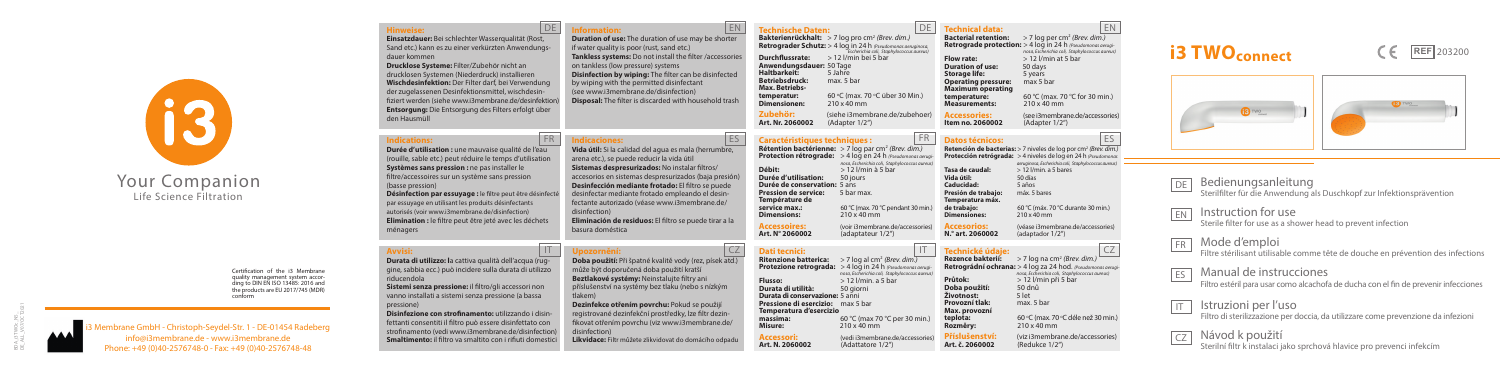mbrane GmbH - Christoph-Seydel-Str. 1 - DE-01454 Radeberg info@i3membrane.de - www.i3membrane.de Phone: +49 (0)40-2576748-0 - Fax: +49 (0)40-2576748-48

# Your Companion Life Science Filtration

#### Bedienungsanleitung Sterilfilter für die Anwendung als Duschkopf zur Infektionsprävention DE

IT



**Hinweise: Einsatzdauer:** Bei schlechter Wasserqualität (Rost, Sand etc.) kann es zu einer verkürzten Anwendungsdauer kommen

#### **FR** Mode d'emploi

Filtre stérilisant utilisable comme tête de douche en prévention des infections

**Drucklose Systeme:** Filter/Zubehör nicht an drucklosen Systemen (Niederdruck) installieren **Wischdesinfektion:** Der Filter darf, bei Verwendung der zugelassenen Desinfektionsmittel, wischdesinfiziert werden (siehe www.i3membrane.de/desinfektion) **Entsorgung:** Die Entsorgung des Filters erfolgt über den Hausmüll

> EN Instruction for use

ES Manual de instrucciones Filtro estéril para usar como alcachofa de ducha con el fin de prevenir infecciones

Certification of the i3 Membrane quality management system according to DIN EN ISO 13485: 2016 and the products are EU 2017/745 (MDR) conform

**Technische Daten: Bakterienrückhalt:** > 7 log pro cm2 *(Brev. dim.)* **Retrograder Schutz:** > 4 log in 24 h *(Pseudomonas aeruginosa, Escherichia coli, Staphylococcus aureus)* **Durchflussrate:** > 12 l/min bei 5 bar **Anwendungsdauer:** 50 Tage **Haltbarkeit:** 5 Jahre **Betriebsdruck:** max. 5 bar **Max. Betriebstemperatur:** 60 °C (max. 7<br> **Dimensionen:** 210 x 40 mm 'C (max. 70 °C über 30 Min.) **Dimensionen Zubehör:** (siehe i3membrane.de/zubehoer)<br>**Art. Nr. 2060002** (Adapter 1/2")

Sterile filter for use as a shower head to prevent infection

**Retrograde protection:** > 4 log in 24 h *(Pseudomonas aerugi- nosa, Escherichia coli, Staphylococcus aureus)* **Flow rate:**  $> 12$  l/min at 5 bar<br>**Duration of use:** 50 days **Duration of use:** 50 days<br> **Storage life:** 5 years **Storage life:** 5 years<br>**Operating pressure:** max 5 bar **Operating pressure: Maximum operating temperature:** 60 °C (max. 7)<br> **Measurements:** 210 x 40 mm C (max. 70 °C for 30 min.)  $M$ easurements:

**Item no. 2060002** 

Istruzioni per l'uso Filtro di sterilizzazione per doccia, da utilizzare come prevenzione da infezioni

Návod k použití Sterilní filtr k instalaci jako sprchová hlavice pro prevenci infekcím

## **REF** 203200





**Information: Duration of use:** The duration of use may be shorter if water quality is poor (rust, sand etc.) **Tankless systems:** Do not install the filter /accessories on tankless (low pressure) systems **Disinfection by wiping:** The filter can be disinfected by wiping with the permitted disinfectant (see www.i3membrane.de/disinfection) **Disposal:** The filter is discarded with household trash

# Art. Nr. 2060002

**Caractéristiques techniques :**<br>**Rétention bactérienne:** > 7 log par cm<sup>2</sup> *(Brev. dim.)* **Protection rétrograde:**  $> 4 \log p$  en 24 h *(Pseudomonas ne nosa, Escherichia coli, Staphylococcus aureus)* **Débit:** > 12 l/min à 5 bar **Durée d'utilisation: Durée de conservation:** 5 ans<br>**Pression de service:** 5 bar max **Pression de service: Température de service max.:** 60 °C (max. 70 °C pendant 30 min.)<br>**Dimensions:** 210 x 40 mm **Dimensions:** 210 x 40 mm **Accessoires:** (voir i3membrane.de/accessories)<br>**Art. N° 2060002** (adaptateur 1/2") (adaptateur 1/2")

*aeruginosa, Escherichia coli, Staphylococcus aureus*)<br>
3 12 *I/min a 5 hares* **Tasa de caudal:** > 12 l/min. a 5 bares **Caducidad:** 5 años

**Accessories:** (see i3membrane.de/accessories)

FR ES **Datos técnicos:**

**Retención de bacterias:** > 7 niveles de log por cm2 *(Brev. dim.)* **Protección retrógrada:** > 4 niveles de log en 24 h *(Pseudomonas*

**Vida útil:** 50 días<br> **Caducidad:** 5 años **Presión de trabajo Temperatura máx. Dimensiones:** 

 $N.<sup>°</sup>$  art. 2060002

**Technické údaje:**<br>**Rezence bakterií:** > 7 log na cm<sup>2</sup> *(Brev. dim.)* **Retrográdní ochrana:** > 4 log za 24 hod. *(Pseudomonas aerugi* nosa, Escherichia coli, Staphylococcus aureus)<br>**Průtok:** > 12 |/min při 5 bar **Průtok:** > 12 l/min při 5 bar<br>**Doba použití:** 50 dnů **Životnost:** 5 let<br>**Provozní tlak:** max. 5 bar<br>**Max. provozní** teplota:<br>Rozměrv: 'C (max. 70 °C déle než 30 min.) **Rozměry:** 210 x 40 mm (viz i3membrane.de/accessories)<br>(Redukce 1/2<sup>ª</sup>) Art. č. 2060002

IT CZ **Upozornění: Doba použití:** Při špatné kvalitě vody (rez, písek atd.) může být doporučená doba použití kratší

**de trabajo:** 60 °C (máx. 70 °C durante 30 min.)

(véase i3membrane.de/accessories)<br>(adaptador 1/2<sup>"</sup>)

**Dati tecnici: Ritenzione batterica:** > 7 log al cm2 *(Brev. dim.)* **Protezione retrograda:** > 4 log in 24 h *(Pseudomonas aerugi nosa, Escherichia coli, Staphylococcus aureus)* **Flusso:**  $\frac{>12 \text{ /min}}{2}$ <br>**Durata di conservazione**:  $\frac{5}{3}$  anni **Pressione di esercizio:**  $\frac{8}{3}$  **Durata d'esercizio**<br>**Temperatura d'esercizio**<br>**Emperatura d'esercizio**<br>**Anni Bressina:**  $\frac{60 \text{ °C}}{2}$ **massima:**  $\overline{60}^{\circ}$ C (max 70 °C per 30 min.)<br>**Misure:** 210 x 40 mm **Misure:** 210 x 40 mm

**Art. N. 2060002** (Adattatore 1/2")

**Accessori:** (vedi i3membrane.de/accessories)<br>**Art. N. 2060002** (Adattatore 1/2")

#### **Indications:**

**Durée d'utilisation :** une mauvaise qualité de l'eau (rouille, sable etc.) peut réduire le temps d'utilisation **Systèmes sans pression :** ne pas installer le filtre/accessoires sur un système sans pression (basse pression)

**Désinfection par essuyage :** le filtre peut être désinfecté par essuyage en utilisant les produits désinfectants autorisés (voir www.i3membrane.de/disinfection) **Elimination :** le filtre peut être jeté avec les déchets ménagers

**Indicaciones:**

**Vida útil:** Si la calidad del agua es mala (herrumbre, arena etc.), se puede reducir la vida útil **Sistemas despresurizados:** No instalar filtros/

accesorios en sistemas despresurizados (baja presión) **Desinfección mediante frotado:** El filtro se puede desinfectar mediante frotado empleando el desinfectante autorizado (véase www.i3membrane.de/ disinfection) **Eliminación de residuos:** El filtro se puede tirar a la basura doméstica

FR Indicaciones: ES

#### **Avvisi:**

**Durata di utilizzo: l**a cattiva qualità dell'acqua (ruggine, sabbia ecc.) può incidere sulla durata di utilizzo riducendola

**Sistemi senza pressione:** il filtro/gli accessori non vanno installati a sistemi senza pressione (a bassa pressione)

**Disinfezione con strofinamento:** utilizzando i disinfettanti consentiti il filtro può essere disinfettato con strofinamento (vedi www.i3membrane.de/disinfection) **Smaltimento:** il filtro va smaltito con i rifiuti domestici

#### DE Information: EN

**Beztlakové systémy:** Neinstalujte filtry ani příslušenství na systémy bez tlaku (nebo s nízkým tlakem)

**Dezinfekce otřením povrchu:** Pokud se použijí registrované dezinfekční prostředky, lze filtr dezinfikovat otřením povrchu (viz www.i3membrane.de/ disinfection) **Likvidace:** Filtr můžete zlikvidovat do domácího odpadu

**DE** Technical data: EN **Bacterial retention:** > 7 log per cm<sup>2</sup> *(Brev. dim.)* 

# **i3 TWOconnect**